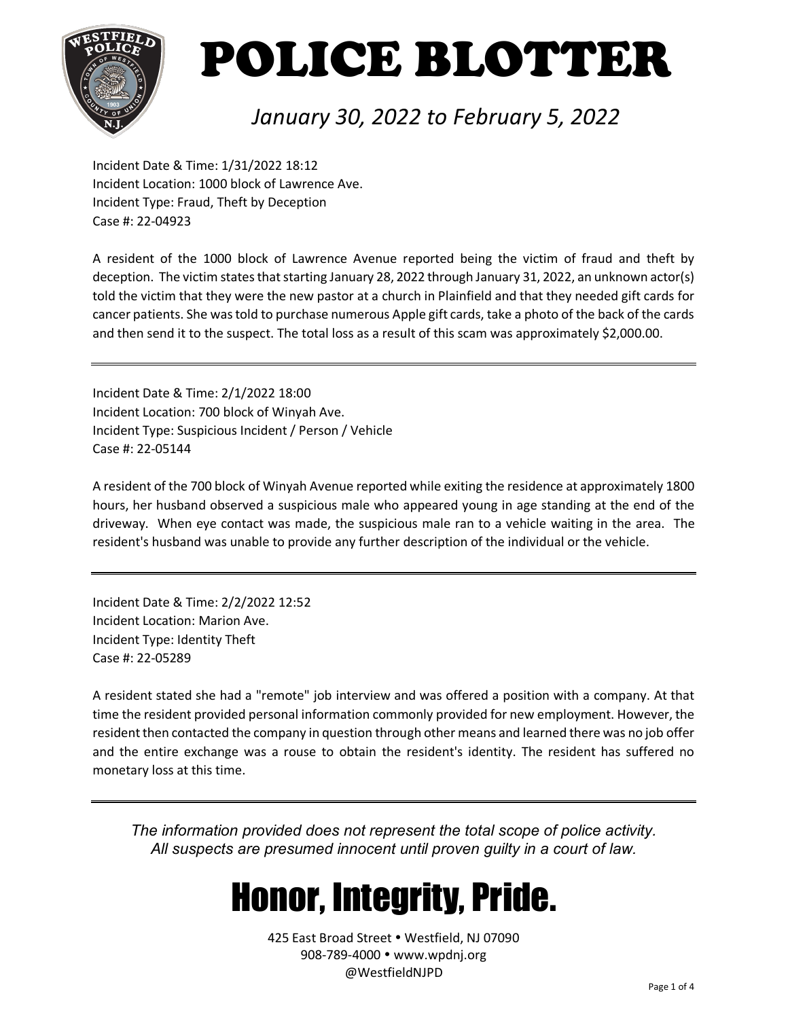

### *January 30, 2022 to February 5, 2022*

Incident Date & Time: 1/31/2022 18:12 Incident Location: 1000 block of Lawrence Ave. Incident Type: Fraud, Theft by Deception Case #: 22-04923

A resident of the 1000 block of Lawrence Avenue reported being the victim of fraud and theft by deception. The victim states that starting January 28, 2022 through January 31, 2022, an unknown actor(s) told the victim that they were the new pastor at a church in Plainfield and that they needed gift cards for cancer patients. She was told to purchase numerous Apple gift cards, take a photo of the back of the cards and then send it to the suspect. The total loss as a result of this scam was approximately \$2,000.00.

Incident Date & Time: 2/1/2022 18:00 Incident Location: 700 block of Winyah Ave. Incident Type: Suspicious Incident / Person / Vehicle Case #: 22-05144

A resident of the 700 block of Winyah Avenue reported while exiting the residence at approximately 1800 hours, her husband observed a suspicious male who appeared young in age standing at the end of the driveway. When eye contact was made, the suspicious male ran to a vehicle waiting in the area. The resident's husband was unable to provide any further description of the individual or the vehicle.

Incident Date & Time: 2/2/2022 12:52 Incident Location: Marion Ave. Incident Type: Identity Theft Case #: 22-05289

A resident stated she had a "remote" job interview and was offered a position with a company. At that time the resident provided personal information commonly provided for new employment. However, the resident then contacted the company in question through other means and learned there was no job offer and the entire exchange was a rouse to obtain the resident's identity. The resident has suffered no monetary loss at this time.

*The information provided does not represent the total scope of police activity. All suspects are presumed innocent until proven guilty in a court of law.*

## Honor, Integrity, Pride.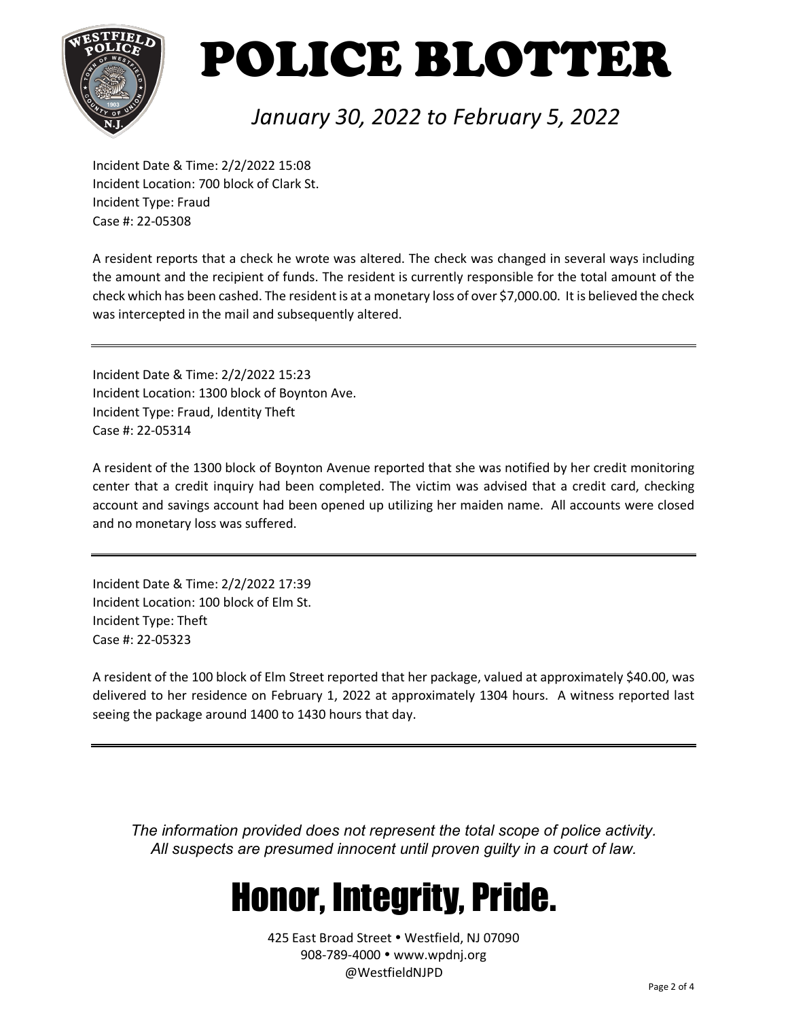

### *January 30, 2022 to February 5, 2022*

Incident Date & Time: 2/2/2022 15:08 Incident Location: 700 block of Clark St. Incident Type: Fraud Case #: 22-05308

A resident reports that a check he wrote was altered. The check was changed in several ways including the amount and the recipient of funds. The resident is currently responsible for the total amount of the check which has been cashed. The resident is at a monetary loss of over \$7,000.00. It is believed the check was intercepted in the mail and subsequently altered.

Incident Date & Time: 2/2/2022 15:23 Incident Location: 1300 block of Boynton Ave. Incident Type: Fraud, Identity Theft Case #: 22-05314

A resident of the 1300 block of Boynton Avenue reported that she was notified by her credit monitoring center that a credit inquiry had been completed. The victim was advised that a credit card, checking account and savings account had been opened up utilizing her maiden name. All accounts were closed and no monetary loss was suffered.

Incident Date & Time: 2/2/2022 17:39 Incident Location: 100 block of Elm St. Incident Type: Theft Case #: 22-05323

A resident of the 100 block of Elm Street reported that her package, valued at approximately \$40.00, was delivered to her residence on February 1, 2022 at approximately 1304 hours. A witness reported last seeing the package around 1400 to 1430 hours that day.

*The information provided does not represent the total scope of police activity. All suspects are presumed innocent until proven guilty in a court of law.*

## Honor, Integrity, Pride.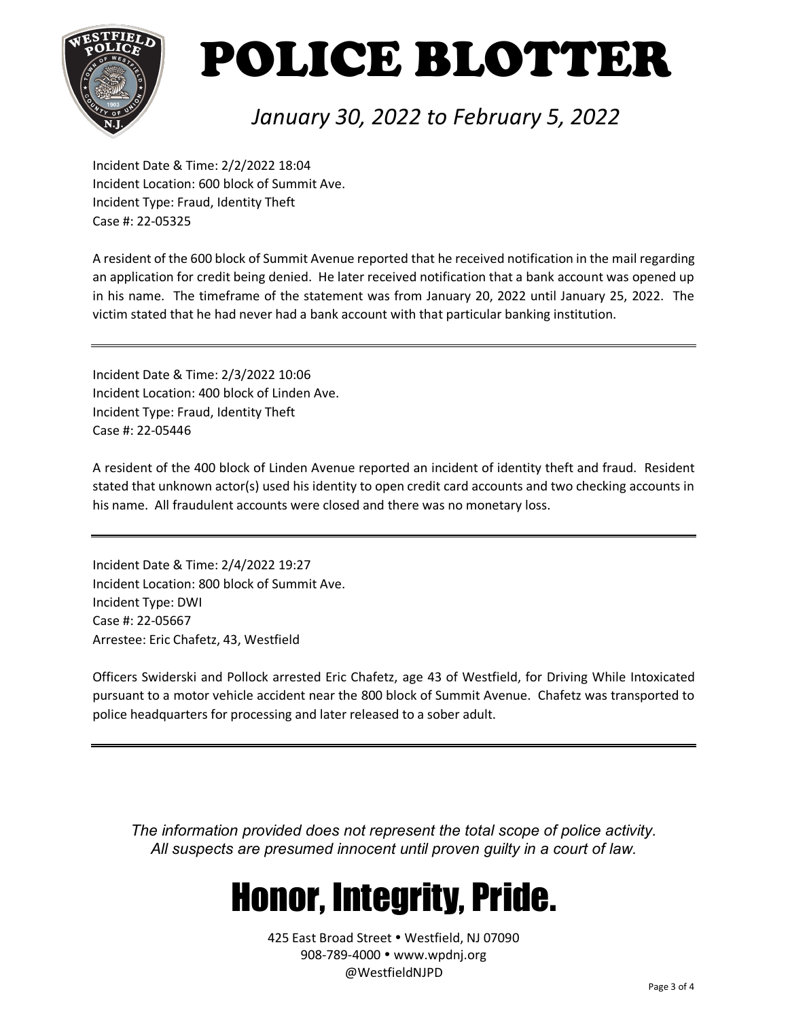

### *January 30, 2022 to February 5, 2022*

Incident Date & Time: 2/2/2022 18:04 Incident Location: 600 block of Summit Ave. Incident Type: Fraud, Identity Theft Case #: 22-05325

A resident of the 600 block of Summit Avenue reported that he received notification in the mail regarding an application for credit being denied. He later received notification that a bank account was opened up in his name. The timeframe of the statement was from January 20, 2022 until January 25, 2022. The victim stated that he had never had a bank account with that particular banking institution.

Incident Date & Time: 2/3/2022 10:06 Incident Location: 400 block of Linden Ave. Incident Type: Fraud, Identity Theft Case #: 22-05446

A resident of the 400 block of Linden Avenue reported an incident of identity theft and fraud. Resident stated that unknown actor(s) used his identity to open credit card accounts and two checking accounts in his name. All fraudulent accounts were closed and there was no monetary loss.

Incident Date & Time: 2/4/2022 19:27 Incident Location: 800 block of Summit Ave. Incident Type: DWI Case #: 22-05667 Arrestee: Eric Chafetz, 43, Westfield

Officers Swiderski and Pollock arrested Eric Chafetz, age 43 of Westfield, for Driving While Intoxicated pursuant to a motor vehicle accident near the 800 block of Summit Avenue. Chafetz was transported to police headquarters for processing and later released to a sober adult.

*The information provided does not represent the total scope of police activity. All suspects are presumed innocent until proven guilty in a court of law.*

## Honor, Integrity, Pride.